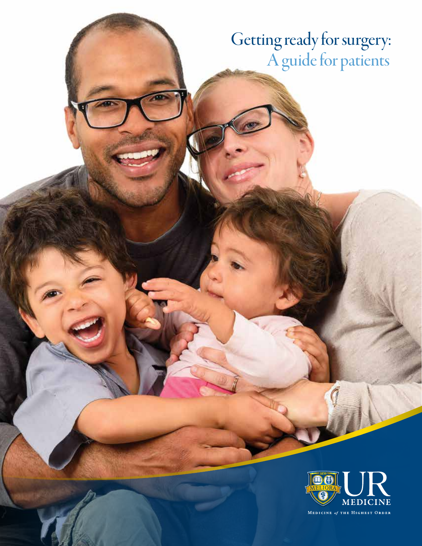# Getting ready for surgery: A guide for patients



MEDICINE of THE HIGHEST ORDER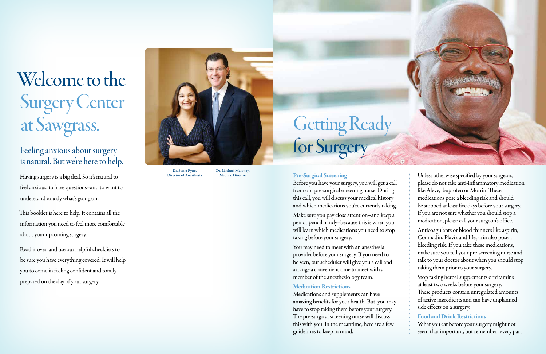# Welcome to the Surgery Center at Sawgrass.

# Feeling anxious about surgery is natural. But we're here to help.

Having surgery is a big deal. So it's natural to feel anxious, to have questions–and to want to understand exactly what's going on.

This booklet is here to help. It contains all the information you need to feel more comfortable about your upcoming surgery.

Read it over, and use our helpful checklists to be sure you have everything covered. It will help you to come in feeling confident and totally prepared on the day of your surgery.

# Getting Ready for Surgery

#### Pre-Surgical Screening

Before you have your surgery, you will get a call from our pre-surgical screening nurse. During this call, you will discuss your medical history and which medications you're currently taking.

Make sure you pay close attention–and keep a pen or pencil handy–because this is when you will learn which medications you need to stop taking before your surgery.

You may need to meet with an anesthesia provider before your surgery. If you need to be seen, our scheduler will give you a call and arrange a convenient time to meet with a member of the anesthesiology team.

#### Medication Restrictions

Medications and supplements can have amazing benefits for your health. But you may have to stop taking them before your surgery. The pre-surgical screening nurse will discuss this with you. In the meantime, here are a few guidelines to keep in mind.



Unless otherwise specified by your surgeon, please do not take anti-inflammatory medication like Aleve, ibuprofen or Motrin. These medications pose a bleeding risk and should be stopped at least five days before your surgery. If you are not sure whether you should stop a medication, please call your surgeon's office.

Anticoagulants or blood thinners like aspirin, Coumadin, Plavix and Heparin also pose a bleeding risk. If you take these medications, make sure you tell your pre-screening nurse and talk to your doctor about when you should stop taking them prior to your surgery.

Stop taking herbal supplements or vitamins at least two weeks before your surgery. These products contain unregulated amounts of active ingredients and can have unplanned side effects on a surgery.

#### Food and Drink Restrictions

What you eat before your surgery might not seem that important, but remember: every part



Dr. Sonia Pyne, Director of Anesthesia

Dr. Michael Maloney, Medical Director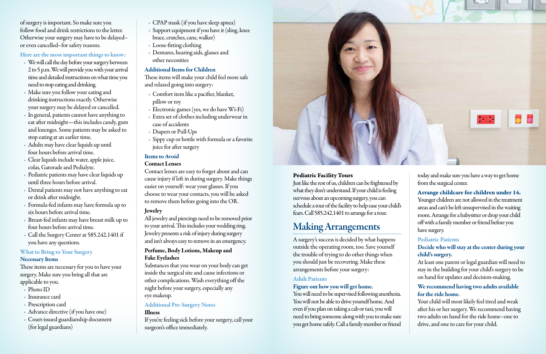of surgery is important. So make sure you follow food and drink restrictions to the letter. Otherwise your surgery may have to be delayed– or even cancelled–for safety reasons.

#### Here are the most important things to know:

- We will call the day before your surgery between 2 to 5 p.m. We will provide you with your arrival time and detailed instructions on what time you need to stop eating and drinking.
- Make sure you follow your eating and drinking instructions exactly. Otherwise your surgery may be delayed or cancelled.
- In general, patients cannot have anything to eat after midnight—this includes candy, gum and lozenges. Some patients may be asked to stop eating at an earlier time.
- Adults may have clear liquids up until four hours before arrival time.
- Clear liquids include water, apple juice, colas, Gatorade and Pedialyte.
- Pediatric patients may have clear liquids up until three hours before arrival.
- Dental patients may not have anything to eat or drink after midnight.
- Formula-fed infants may have formula up to six hours before arrival time.
- Breast-fed infants may have breast milk up to four hours before arrival time.
- Gall the Surgery Center at 585.242.1401 if you have any questions.

# What to Bring to Your Surgery

#### Necessary Items

These items are necessary for you to have your surgery. Make sure you bring all that are applicable to you.

- Photo ID
- Insurance card
- Prescription card
- Advance directive (if you have one)
- Court-issued guardianship document (for legal guardians)
- CPAP mask (if you have sleep apnea)
- Support equipment if you have it (sling, knee brace, crutches, cane, walker)
- Loose-fitting clothing
- Dentures, hearing aids, glasses and other necessities

## Additional Items for Children

These items will make your child feel more safe and relaxed going into surgery:

- Comfort item like a pacifier, blanket, pillow or toy
- Electronic games (yes, we do have Wi-Fi)
- Extra set of clothes including underwear in case of accidents
- Diapers or Pull-Ups
- Sippy cup or bottle with formula or a favorite juice for after surgery

#### Items to Avoid

#### Contact Lenses

## We recommend having two adults available for the ride home.

Contact lenses are easy to forget about and can cause injury if left in during surgery. Make things easier on yourself: wear your glasses. If you choose to wear your contacts, you will be asked to remove them before going into the OR.

## Jewelry

All jewelry and piercings need to be removed prior to your arrival. This includes your wedding ring. Jewelry presents a risk of injury during surgery and isn't always easy to remove in an emergency.

#### Perfume, Body Lotions, Makeup and Fake Eyelashes

Substances that you wear on your body can get inside the surgical site and cause infections or other complications. Wash everything off the night before your surgery, especially any eye makeup.

# Additional Pre-Surgery Notes

#### Illness

If you're feeling sick before your surgery, call your surgeon's office immediately.



# Pediatric Facility Tours

Just like the rest of us, children can be frightened by what they don't understand. If your child is feeling nervous about an upcoming surgery, you can schedule a tour of the facility to help ease your child's fears. Call 585.242.1401 to arrange for a tour.

# Making Arrangements

A surgery's success is decided by what happens outside the operating room, too. Save yourself the trouble of trying to do other things when you should just be recovering. Make these arrangements before your surgery:

# Adult Patients

# Figure out how you will get home.

You will need to be supervised following anesthesia. You will not be able to drive yourself home. And even if you plan on taking a cab or taxi, you will need to bring someone along with you to make sure you get home safely. Call a family member or friend

today and make sure you have a way to get home from the surgical center.

#### Arrange childcare for children under 14.

Younger children are not allowed in the treatment areas and can't be left unsupervised in the waiting room. Arrange for a babysitter or drop your child off with a family member or friend before you have surgery.

#### Pediatric Patients

#### Decide who will stay at the center during your child's surgery.

At least one parent or legal guardian will need to stay in the building for your child's surgery to be on hand for updates and decision-making.

Your child will most likely feel tired and weak after his or her surgery. We recommend having two adults on hand for the ride home–one to drive, and one to care for your child.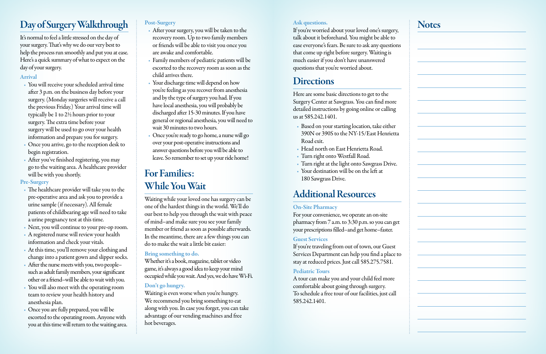# Day of Surgery Walkthrough

It's normal to feel a little stressed on the day of your surgery. That's why we do our very best to help the process run smoothly and put you at ease. Here's a quick summary of what to expect on the day of your surgery.

### Arrival

- You will receive your scheduled arrival time after 3 p.m. on the business day before your surgery. (Monday surgeries will receive a call the previous Friday.) Your arrival time will typically be 1 to 2½ hours prior to your surgery. The extra time before your surgery will be used to go over your health information and prepare you for surgery.
- Once you arrive, go to the reception desk to begin registration.
- After you've finished registering, you may go to the waiting area. A healthcare provider will be with you shortly.

## Pre-Surgery

- The healthcare provider will take you to the pre-operative area and ask you to provide a urine sample (if necessary). All female patients of childbearing age will need to take a urine pregnancy test at this time.
- Next, you will continue to your pre-op room.
- A registered nurse will review your health information and check your vitals.
- At this time, you'll remove your clothing and change into a patient gown and slipper socks.
- After the nurse meets with you, two peoplesuch as adult family members, your significant other or a friend–will be able to wait with you.
- You will also meet with the operating room team to review your health history and anesthesia plan.
- Once you are fully prepared, you will be escorted to the operating room. Anyone with you at this time will return to the waiting area.

Whether it's a book, magazine, tablet or video game, it's always a good idea to keep your mind occupied while you wait. And yes, we do have Wi-Fi.

# Post-Surgery

- After your surgery, you will be taken to the recovery room. Up to two family members or friends will be able to visit you once you are awake and comfortable.
- Family members of pediatric patients will be escorted to the recovery room as soon as the child arrives there.
- Your discharge time will depend on how you're feeling as you recover from anesthesia and by the type of surgery you had. If you have local anesthesia, you will probably be discharged after 15-30 minutes. If you have general or regional anesthesia, you will need to wait 30 minutes to two hours.
- Once you're ready to go home, a nurse will go over your post-operative instructions and answer questions before you will be able to leave. So remember to set up your ride home!

# For Families: While You Wait

Waiting while your loved one has surgery can be one of the hardest things in the world. We'll do our best to help you through the wait with peace of mind–and make sure you see your family member or friend as soon as possible afterwards. In the meantime, there are a few things you can do to make the wait a little bit easier:

## Bring something to do.

# Don't go hungry.

Waiting is even worse when you're hungry. We recommend you bring something to eat along with you. In case you forget, you can take advantage of our vending machines and free hot beverages.

#### Ask questions.

If you're worried about your loved one's surgery, talk about it beforehand. You might be able to ease everyone's fears. Be sure to ask any questions that come up right before surgery. Waiting is much easier if you don't have unanswered questions that you're worried about.

# **Directions**

Here are some basic directions to get to the Surgery Center at Sawgrass. You can find more detailed instructions by going online or calling us at 585.242.1401.

- Based on your starting location, take either 390N or 390S to the NY-15/East Henrietta Road exit.
- Head north on East Henrietta Road.
- Turn right onto Westfall Road.
- Turn right at the light onto Sawgrass Drive.
- Your destination will be on the left at 180 Sawgrass Drive.

# Additional Resources

# On-Site Pharmacy

For your convenience, we operate an on-site pharmacy from 7 a.m. to 3:30 p.m. so you can get your prescriptions filled–and get home–faster.

# Guest Services

If you're traveling from out of town, our Guest Services Department can help you find a place to stay at reduced prices. Just call 585.275.7581.

# Pediatric Tours

A tour can make you and your child feel more comfortable about going through surgery. To schedule a free tour of our facilities, just call 585.242.1401.

# **Notes**